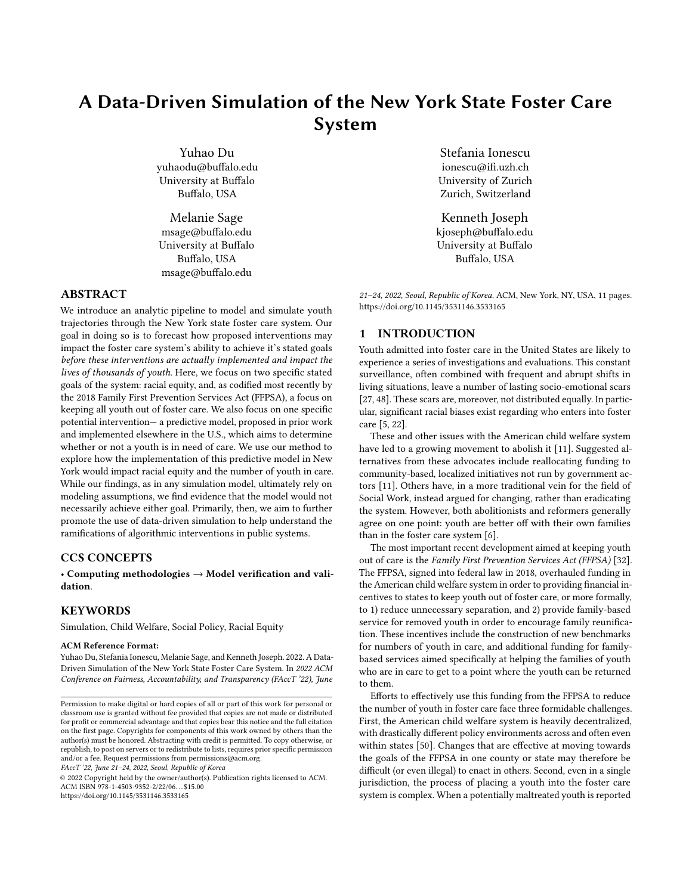# A Data-Driven Simulation of the New York State Foster Care System

[Yuhao Du](https://orcid.org/0000-0002-2474-8529) yuhaodu@buffalo.edu University at Buffalo Buffalo, USA

[Melanie Sage](https://orcid.org/0000-0002-3385-9650) msage@buffalo.edu University at Buffalo Buffalo, USA msage@buffalo.edu

#### ABSTRACT

We introduce an analytic pipeline to model and simulate youth trajectories through the New York state foster care system. Our goal in doing so is to forecast how proposed interventions may impact the foster care system's ability to achieve it's stated goals before these interventions are actually implemented and impact the lives of thousands of youth. Here, we focus on two specific stated goals of the system: racial equity, and, as codified most recently by the 2018 Family First Prevention Services Act (FFPSA), a focus on keeping all youth out of foster care. We also focus on one specific potential intervention— a predictive model, proposed in prior work and implemented elsewhere in the U.S., which aims to determine whether or not a youth is in need of care. We use our method to explore how the implementation of this predictive model in New York would impact racial equity and the number of youth in care. While our findings, as in any simulation model, ultimately rely on modeling assumptions, we find evidence that the model would not necessarily achieve either goal. Primarily, then, we aim to further promote the use of data-driven simulation to help understand the ramifications of algorithmic interventions in public systems.

# CCS CONCEPTS

• Computing methodologies  $\rightarrow$  Model verification and validation.

#### **KEYWORDS**

Simulation, Child Welfare, Social Policy, Racial Equity

#### ACM Reference Format:

Yuhao Du, Stefania Ionescu, Melanie Sage, and Kenneth Joseph. 2022. A Data-Driven Simulation of the New York State Foster Care System. In 2022 ACM Conference on Fairness, Accountability, and Transparency (FAccT '22), June

FAccT '22, June 21–24, 2022, Seoul, Republic of Korea

© 2022 Copyright held by the owner/author(s). Publication rights licensed to ACM. ACM ISBN 978-1-4503-9352-2/22/06. . . \$15.00 <https://doi.org/10.1145/3531146.3533165>

[Stefania Ionescu](https://orcid.org/0000-0002-6612-5856) ionescu@ifi.uzh.ch University of Zurich Zurich, Switzerland

[Kenneth Joseph](https://orcid.org/0000-0003-2233-3976) kjoseph@buffalo.edu University at Buffalo Buffalo, USA

21–24, 2022, Seoul, Republic of Korea. ACM, New York, NY, USA, [11](#page-10-0) pages. <https://doi.org/10.1145/3531146.3533165>

#### 1 INTRODUCTION

Youth admitted into foster care in the United States are likely to experience a series of investigations and evaluations. This constant surveillance, often combined with frequent and abrupt shifts in living situations, leave a number of lasting socio-emotional scars [\[27,](#page-9-0) [48\]](#page-10-1). These scars are, moreover, not distributed equally. In particular, significant racial biases exist regarding who enters into foster care [\[5,](#page-9-1) [22\]](#page-9-2).

These and other issues with the American child welfare system have led to a growing movement to abolish it [\[11\]](#page-9-3). Suggested alternatives from these advocates include reallocating funding to community-based, localized initiatives not run by government actors [\[11\]](#page-9-3). Others have, in a more traditional vein for the field of Social Work, instead argued for changing, rather than eradicating the system. However, both abolitionists and reformers generally agree on one point: youth are better off with their own families than in the foster care system [\[6\]](#page-9-4).

The most important recent development aimed at keeping youth out of care is the Family First Prevention Services Act (FFPSA) [\[32\]](#page-9-5). The FFPSA, signed into federal law in 2018, overhauled funding in the American child welfare system in order to providing financial incentives to states to keep youth out of foster care, or more formally, to 1) reduce unnecessary separation, and 2) provide family-based service for removed youth in order to encourage family reunification. These incentives include the construction of new benchmarks for numbers of youth in care, and additional funding for familybased services aimed specifically at helping the families of youth who are in care to get to a point where the youth can be returned to them.

Efforts to effectively use this funding from the FFPSA to reduce the number of youth in foster care face three formidable challenges. First, the American child welfare system is heavily decentralized, with drastically different policy environments across and often even within states [\[50\]](#page-10-2). Changes that are effective at moving towards the goals of the FFPSA in one county or state may therefore be difficult (or even illegal) to enact in others. Second, even in a single jurisdiction, the process of placing a youth into the foster care system is complex. When a potentially maltreated youth is reported

Permission to make digital or hard copies of all or part of this work for personal or classroom use is granted without fee provided that copies are not made or distributed for profit or commercial advantage and that copies bear this notice and the full citation on the first page. Copyrights for components of this work owned by others than the author(s) must be honored. Abstracting with credit is permitted. To copy otherwise, or republish, to post on servers or to redistribute to lists, requires prior specific permission and/or a fee. Request permissions from permissions@acm.org.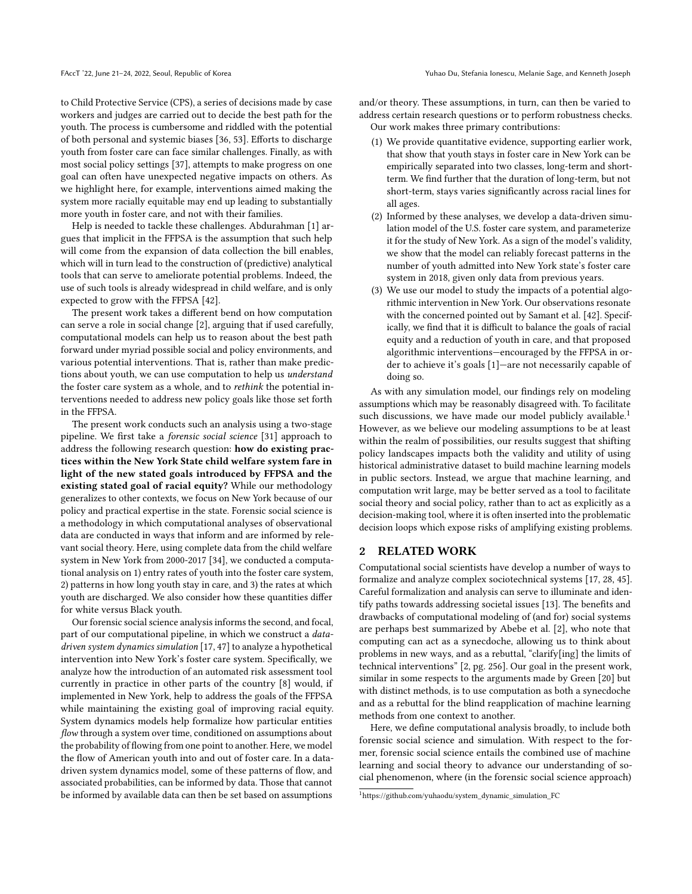to Child Protective Service (CPS), a series of decisions made by case workers and judges are carried out to decide the best path for the youth. The process is cumbersome and riddled with the potential of both personal and systemic biases [\[36,](#page-9-6) [53\]](#page-10-3). Efforts to discharge youth from foster care can face similar challenges. Finally, as with most social policy settings [\[37\]](#page-9-7), attempts to make progress on one goal can often have unexpected negative impacts on others. As we highlight here, for example, interventions aimed making the system more racially equitable may end up leading to substantially more youth in foster care, and not with their families.

Help is needed to tackle these challenges. [Abdurahman](#page-9-8) [\[1\]](#page-9-8) argues that implicit in the FFPSA is the assumption that such help will come from the expansion of data collection the bill enables, which will in turn lead to the construction of (predictive) analytical tools that can serve to ameliorate potential problems. Indeed, the use of such tools is already widespread in child welfare, and is only expected to grow with the FFPSA [\[42\]](#page-9-9).

The present work takes a different bend on how computation can serve a role in social change [\[2\]](#page-9-10), arguing that if used carefully, computational models can help us to reason about the best path forward under myriad possible social and policy environments, and various potential interventions. That is, rather than make predictions about youth, we can use computation to help us understand the foster care system as a whole, and to rethink the potential interventions needed to address new policy goals like those set forth in the FFPSA.

The present work conducts such an analysis using a two-stage pipeline. We first take a forensic social science [\[31\]](#page-9-11) approach to address the following research question: how do existing practices within the New York State child welfare system fare in light of the new stated goals introduced by FFPSA and the existing stated goal of racial equity? While our methodology generalizes to other contexts, we focus on New York because of our policy and practical expertise in the state. Forensic social science is a methodology in which computational analyses of observational data are conducted in ways that inform and are informed by relevant social theory. Here, using complete data from the child welfare system in New York from 2000-2017 [\[34\]](#page-9-12), we conducted a computational analysis on 1) entry rates of youth into the foster care system, 2) patterns in how long youth stay in care, and 3) the rates at which youth are discharged. We also consider how these quantities differ for white versus Black youth.

Our forensic social science analysis informs the second, and focal, part of our computational pipeline, in which we construct a *data*driven system dynamics simulation [\[17,](#page-9-13) [47\]](#page-10-4) to analyze a hypothetical intervention into New York's foster care system. Specifically, we analyze how the introduction of an automated risk assessment tool currently in practice in other parts of the country [\[8\]](#page-9-14) would, if implemented in New York, help to address the goals of the FFPSA while maintaining the existing goal of improving racial equity. System dynamics models help formalize how particular entities flow through a system over time, conditioned on assumptions about the probability of flowing from one point to another. Here, we model the flow of American youth into and out of foster care. In a datadriven system dynamics model, some of these patterns of flow, and associated probabilities, can be informed by data. Those that cannot be informed by available data can then be set based on assumptions

and/or theory. These assumptions, in turn, can then be varied to address certain research questions or to perform robustness checks. Our work makes three primary contributions:

- (1) We provide quantitative evidence, supporting earlier work, that show that youth stays in foster care in New York can be empirically separated into two classes, long-term and shortterm. We find further that the duration of long-term, but not short-term, stays varies significantly across racial lines for all ages.
- (2) Informed by these analyses, we develop a data-driven simulation model of the U.S. foster care system, and parameterize it for the study of New York. As a sign of the model's validity, we show that the model can reliably forecast patterns in the number of youth admitted into New York state's foster care system in 2018, given only data from previous years.
- (3) We use our model to study the impacts of a potential algorithmic intervention in New York. Our observations resonate with the concerned pointed out by Samant et al. [\[42\]](#page-9-9). Specifically, we find that it is difficult to balance the goals of racial equity and a reduction of youth in care, and that proposed algorithmic interventions—encouraged by the FFPSA in order to achieve it's goals [\[1\]](#page-9-8)—are not necessarily capable of doing so.

As with any simulation model, our findings rely on modeling assumptions which may be reasonably disagreed with. To facilitate such discussions, we have made our model publicly available.<sup>[1](#page-1-0)</sup> However, as we believe our modeling assumptions to be at least within the realm of possibilities, our results suggest that shifting policy landscapes impacts both the validity and utility of using historical administrative dataset to build machine learning models in public sectors. Instead, we argue that machine learning, and computation writ large, may be better served as a tool to facilitate social theory and social policy, rather than to act as explicitly as a decision-making tool, where it is often inserted into the problematic decision loops which expose risks of amplifying existing problems.

#### 2 RELATED WORK

Computational social scientists have develop a number of ways to formalize and analyze complex sociotechnical systems [\[17,](#page-9-13) [28,](#page-9-15) [45\]](#page-10-5). Careful formalization and analysis can serve to illuminate and identify paths towards addressing societal issues [\[13\]](#page-9-16). The benefits and drawbacks of computational modeling of (and for) social systems are perhaps best summarized by Abebe et al. [\[2\]](#page-9-10), who note that computing can act as a synecdoche, allowing us to think about problems in new ways, and as a rebuttal, "clarify[ing] the limits of technical interventions" [\[2,](#page-9-10) pg. 256]. Our goal in the present work, similar in some respects to the arguments made by Green [\[20\]](#page-9-17) but with distinct methods, is to use computation as both a synecdoche and as a rebuttal for the blind reapplication of machine learning methods from one context to another.

Here, we define computational analysis broadly, to include both forensic social science and simulation. With respect to the former, forensic social science entails the combined use of machine learning and social theory to advance our understanding of social phenomenon, where (in the forensic social science approach)

<span id="page-1-0"></span><sup>1</sup>https://github.com/yuhaodu/system\_dynamic\_simulation\_FC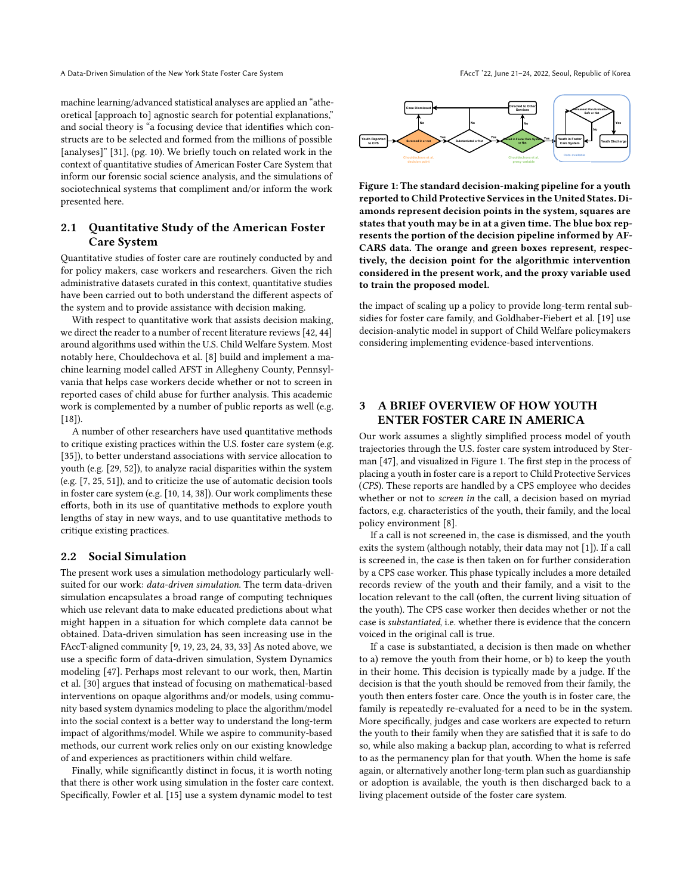machine learning/advanced statistical analyses are applied an "atheoretical [approach to] agnostic search for potential explanations," and social theory is "a focusing device that identifies which constructs are to be selected and formed from the millions of possible [analyses]" [\[31\]](#page-9-11), (pg. 10). We briefly touch on related work in the context of quantitative studies of American Foster Care System that inform our forensic social science analysis, and the simulations of sociotechnical systems that compliment and/or inform the work presented here.

# 2.1 Quantitative Study of the American Foster Care System

Quantitative studies of foster care are routinely conducted by and for policy makers, case workers and researchers. Given the rich administrative datasets curated in this context, quantitative studies have been carried out to both understand the different aspects of the system and to provide assistance with decision making.

With respect to quantitative work that assists decision making, we direct the reader to a number of recent literature reviews [\[42,](#page-9-9) [44\]](#page-10-6) around algorithms used within the U.S. Child Welfare System. Most notably here, Chouldechova et al. [\[8\]](#page-9-14) build and implement a machine learning model called AFST in Allegheny County, Pennsylvania that helps case workers decide whether or not to screen in reported cases of child abuse for further analysis. This academic work is complemented by a number of public reports as well (e.g.  $[18]$ ).

A number of other researchers have used quantitative methods to critique existing practices within the U.S. foster care system (e.g. [\[35\]](#page-9-19)), to better understand associations with service allocation to youth (e.g. [\[29,](#page-9-20) [52\]](#page-10-7)), to analyze racial disparities within the system (e.g. [\[7,](#page-9-21) [25,](#page-9-22) [51\]](#page-10-8)), and to criticize the use of automatic decision tools in foster care system (e.g. [\[10,](#page-9-23) [14,](#page-9-24) [38\]](#page-9-25)). Our work compliments these efforts, both in its use of quantitative methods to explore youth lengths of stay in new ways, and to use quantitative methods to critique existing practices.

#### 2.2 Social Simulation

The present work uses a simulation methodology particularly wellsuited for our work: data-driven simulation. The term data-driven simulation encapsulates a broad range of computing techniques which use relevant data to make educated predictions about what might happen in a situation for which complete data cannot be obtained. Data-driven simulation has seen increasing use in the FAccT-aligned community [\[9,](#page-9-26) [19,](#page-9-27) [23,](#page-9-28) [24,](#page-9-29) [33,](#page-9-30) [33\]](#page-9-30) As noted above, we use a specific form of data-driven simulation, System Dynamics modeling [\[47\]](#page-10-4). Perhaps most relevant to our work, then, Martin et al. [\[30\]](#page-9-31) argues that instead of focusing on mathematical-based interventions on opaque algorithms and/or models, using community based system dynamics modeling to place the algorithm/model into the social context is a better way to understand the long-term impact of algorithms/model. While we aspire to community-based methods, our current work relies only on our existing knowledge of and experiences as practitioners within child welfare. et are one searches are only as a system during the measure of the system during the system of the system of the system of the system of the system of the system of the system of the system of the system of the system of t

Finally, while significantly distinct in focus, it is worth noting that there is other work using simulation in the foster care context.

<span id="page-2-0"></span>

Figure 1: The standard decision-making pipeline for a youth reported to Child Protective Services in the United States. Diamonds represent decision points in the system, squares are states that youth may be in at a given time. The blue box represents the portion of the decision pipeline informed by AF-CARS data. The orange and green boxes represent, respectively, the decision point for the algorithmic intervention considered in the present work, and the proxy variable used to train the proposed model.

the impact of scaling up a policy to provide long-term rental subsidies for foster care family, and Goldhaber-Fiebert et al. [\[19\]](#page-9-27) use decision-analytic model in support of Child Welfare policymakers considering implementing evidence-based interventions.

# 3 A BRIEF OVERVIEW OF HOW YOUTH ENTER FOSTER CARE IN AMERICA

Our work assumes a slightly simplified process model of youth trajectories through the U.S. foster care system introduced by Sterman [\[47\]](#page-10-4), and visualized in Figure [1.](#page-2-0) The first step in the process of placing a youth in foster care is a report to Child Protective Services (CPS). These reports are handled by a CPS employee who decides whether or not to screen in the call, a decision based on myriad factors, e.g. characteristics of the youth, their family, and the local policy environment [\[8\]](#page-9-14).

If a call is not screened in, the case is dismissed, and the youth exits the system (although notably, their data may not [\[1\]](#page-9-8)). If a call is screened in, the case is then taken on for further consideration by a CPS case worker. This phase typically includes a more detailed records review of the youth and their family, and a visit to the location relevant to the call (often, the current living situation of the youth). The CPS case worker then decides whether or not the case is substantiated, i.e. whether there is evidence that the concern voiced in the original call is true.

If a case is substantiated, a decision is then made on whether to a) remove the youth from their home, or b) to keep the youth in their home. This decision is typically made by a judge. If the decision is that the youth should be removed from their family, the youth then enters foster care. Once the youth is in foster care, the family is repeatedly re-evaluated for a need to be in the system. More specifically, judges and case workers are expected to return the youth to their family when they are satisfied that it is safe to do so, while also making a backup plan, according to what is referred to as the permanency plan for that youth. When the home is safe again, or alternatively another long-term plan such as guardianship or adoption is available, the youth is then discharged back to a living placement outside of the foster care system.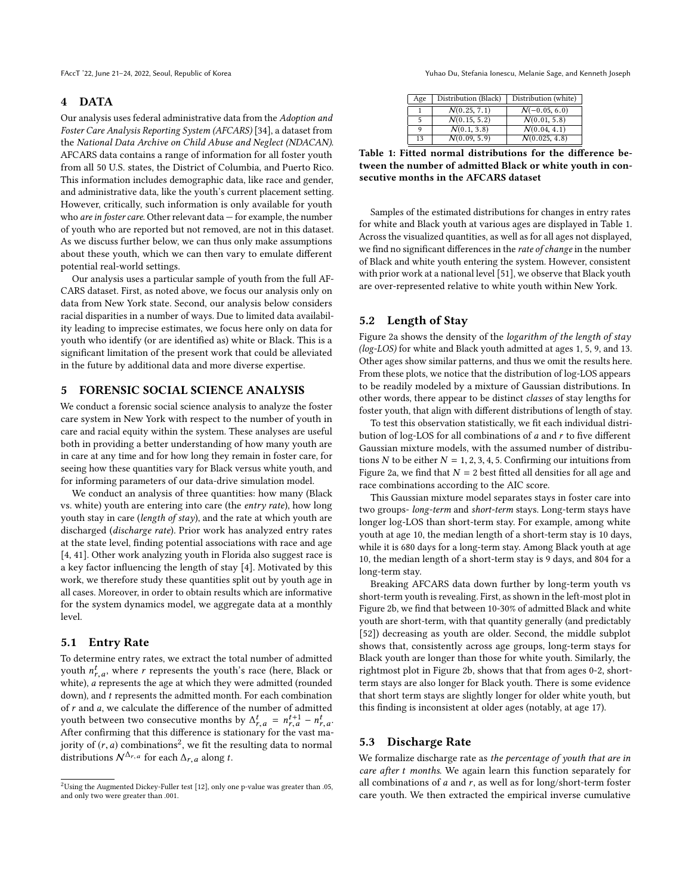#### 4 DATA

Our analysis uses federal administrative data from the Adoption and Foster Care Analysis Reporting System (AFCARS) [\[34\]](#page-9-12), a dataset from the National Data Archive on Child Abuse and Neglect (NDACAN). AFCARS data contains a range of information for all foster youth from all 50 U.S. states, the District of Columbia, and Puerto Rico. This information includes demographic data, like race and gender, and administrative data, like the youth's current placement setting. However, critically, such information is only available for youth who are in foster care. Other relevant data - for example, the number of youth who are reported but not removed, are not in this dataset. As we discuss further below, we can thus only make assumptions about these youth, which we can then vary to emulate different potential real-world settings.

Our analysis uses a particular sample of youth from the full AF-CARS dataset. First, as noted above, we focus our analysis only on data from New York state. Second, our analysis below considers racial disparities in a number of ways. Due to limited data availability leading to imprecise estimates, we focus here only on data for youth who identify (or are identified as) white or Black. This is a significant limitation of the present work that could be alleviated in the future by additional data and more diverse expertise.

# 5 FORENSIC SOCIAL SCIENCE ANALYSIS

We conduct a forensic social science analysis to analyze the foster care system in New York with respect to the number of youth in care and racial equity within the system. These analyses are useful both in providing a better understanding of how many youth are in care at any time and for how long they remain in foster care, for seeing how these quantities vary for Black versus white youth, and for informing parameters of our data-drive simulation model.

We conduct an analysis of three quantities: how many (Black vs. white) youth are entering into care (the entry rate), how long youth stay in care (length of stay), and the rate at which youth are discharged (discharge rate). Prior work has analyzed entry rates at the state level, finding potential associations with race and age [\[4,](#page-9-33) [41\]](#page-9-34). Other work analyzing youth in Florida also suggest race is a key factor influencing the length of stay [\[4\]](#page-9-33). Motivated by this work, we therefore study these quantities split out by youth age in all cases. Moreover, in order to obtain results which are informative for the system dynamics model, we aggregate data at a monthly level.

#### 5.1 Entry Rate

To determine entry rates, we extract the total number of admitted youth  $n_{r,a}^t$ , where r represents the youth's race (here, Black or<br>white) a represents the age at which they were admitted (rounded white),  $\vec{a}$  represents the age at which they were admitted (rounded down), and t represents the admitted month. For each combination down), and t represents the admitted month. For each combination of  $r$  and  $a$ , we calculate the difference of the number of admitted youth between two consecutive months by  $\Delta_{r,a}^t = n_{r,a}^{t+1} - n_{r,a}^t$ .<br>After confirming that this difference is stationary for the vast ma-After confirming that this difference is stationary for the vast majority of  $(r, a)$  combinations<sup>[2](#page-3-0)</sup>, we fit the resulting data to normal distributions  $N^{\Delta}r$  a for each  $\Delta$  along t distributions  $\mathcal{N}^{\Delta_{r,a}}$  for each  $\Delta_{r,a}$  along t.

FAccT '22, June 21-24, 2022, Seoul, Republic of Korea Yuhao Du, Stefania Ionescu, Melanie Sage, and Kenneth Joseph

<span id="page-3-1"></span>

| Age | Distribution (Black) | Distribution (white) |
|-----|----------------------|----------------------|
|     | N(0.25, 7.1)         | $N(-0.05, 6.0)$      |
| 5   | N(0.15, 5.2)         | N(0.01, 5.8)         |
| O   | N(0.1, 3.8)          | N(0.04, 4.1)         |
| 13  | N(0.09, 5.9)         | N(0.025, 4.8)        |

Table 1: Fitted normal distributions for the difference between the number of admitted Black or white youth in consecutive months in the AFCARS dataset

Samples of the estimated distributions for changes in entry rates for white and Black youth at various ages are displayed in Table [1.](#page-3-1) Across the visualized quantities, as well as for all ages not displayed, we find no significant differences in the rate of change in the number of Black and white youth entering the system. However, consistent with prior work at a national level [\[51\]](#page-10-8), we observe that Black youth are over-represented relative to white youth within New York.

#### 5.2 Length of Stay

Figure [2a](#page-4-0) shows the density of the logarithm of the length of stay (log-LOS) for white and Black youth admitted at ages 1, 5, 9, and 13. Other ages show similar patterns, and thus we omit the results here. From these plots, we notice that the distribution of log-LOS appears to be readily modeled by a mixture of Gaussian distributions. In other words, there appear to be distinct classes of stay lengths for foster youth, that align with different distributions of length of stay.

To test this observation statistically, we fit each individual distribution of log-LOS for all combinations of a and r to five different Gaussian mixture models, with the assumed number of distributions N to be either  $N = 1, 2, 3, 4, 5$ . Confirming our intuitions from Figure [2a,](#page-4-0) we find that  $N = 2$  best fitted all densities for all age and race combinations according to the AIC score.

This Gaussian mixture model separates stays in foster care into two groups- long-term and short-term stays. Long-term stays have longer log-LOS than short-term stay. For example, among white youth at age 10, the median length of a short-term stay is 10 days, while it is 680 days for a long-term stay. Among Black youth at age 10, the median length of a short-term stay is 9 days, and 804 for a long-term stay.

Breaking AFCARS data down further by long-term youth vs short-term youth is revealing. First, as shown in the left-most plot in Figure [2b,](#page-4-0) we find that between 10-30% of admitted Black and white youth are short-term, with that quantity generally (and predictably [\[52\]](#page-10-7)) decreasing as youth are older. Second, the middle subplot shows that, consistently across age groups, long-term stays for Black youth are longer than those for white youth. Similarly, the rightmost plot in Figure [2b,](#page-4-0) shows that that from ages 0-2, shortterm stays are also longer for Black youth. There is some evidence that short term stays are slightly longer for older white youth, but this finding is inconsistent at older ages (notably, at age 17).

#### 5.3 Discharge Rate

We formalize discharge rate as the percentage of youth that are in care after t months. We again learn this function separately for all combinations of  $a$  and  $r$ , as well as for long/short-term foster care youth. We then extracted the empirical inverse cumulative

<span id="page-3-0"></span> $^{2}$ Using the Augmented Dickey-Fuller test [\[12\]](#page-9-35), only one p-value was greater than .05, and only two were greater than .001.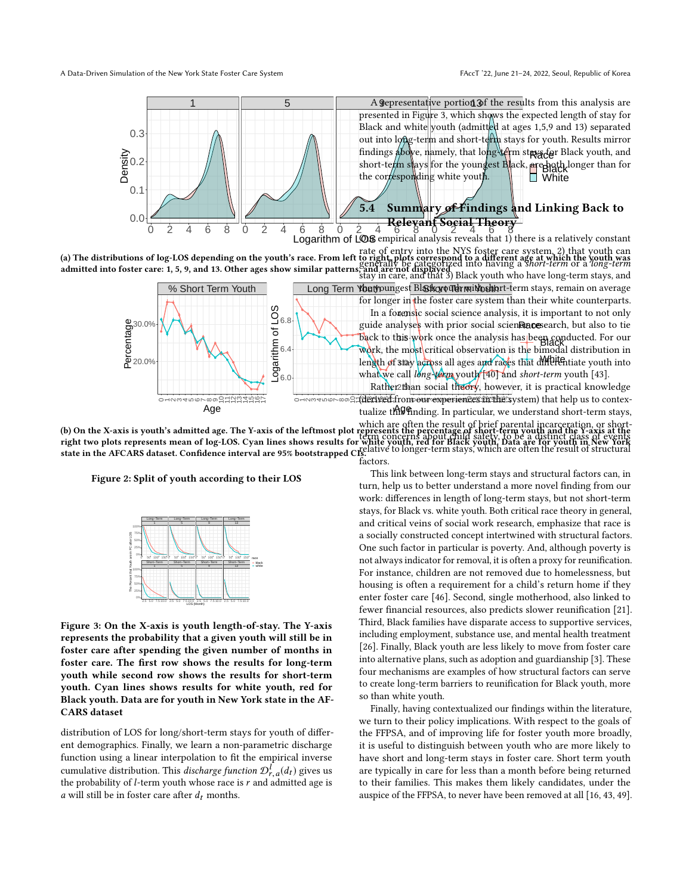<span id="page-4-0"></span>

(a) The distributions of log-LOS depending on the youth's race. From left to right, plots correspond to a different age at which the youth was admitted into foster care: 1, 5, 9, and 13. Other ages show similar patterns, and are not displayed rate of entry into the NYS foster care system, 2) that youth can to right, plots correspond to a different age at which the youth was<br>generally be categorized into having a short-term or a long-term



(b) On the X-axis is youth's admitted age. The Y-axis of the leftmost plot represents the percentage of short-term youth and the Y-axis at the right two plots represents mean of log-LOS. Cyan lines shows results for white youth, red for Black youth. Data are for youth in New York state in the AFCARS dataset. Confidence interval are 95% bootstrapped CIs. which are often the result of brief parental incarceration, or shortepresents the percentage of short-term youth and the Y-axis at the<br>term concerns about child safety, to be a distinct class of events white youth, fed for black youth, bata are for youth in New Tork<br>relative to longer-term stays, which are often the result of structural

<span id="page-4-1"></span>



Figure 3: On the X-axis is youth length-of-stay. The Y-axis represents the probability that a given youth will still be in foster care after spending the given number of months in foster care. The first row shows the results for long-term youth while second row shows the results for short-term youth. Cyan lines shows results for white youth, red for Black youth. Data are for youth in New York state in the AF-CARS dataset

distribution of LOS for long/short-term stays for youth of different demographics. Finally, we learn a non-parametric discharge function using a linear interpolation to fit the empirical inverse cumulative distribution. This *discharge function*  $\mathcal{D}_{r,a}^l(d_t)$  gives us the probability of *L*-term youth whose race is r and admitted age is the probability of *l*-term youth whose race is r and admitted age is a will still be in foster care after  $d$ , months a will still be in foster care after  $d_t$  months.

s.<br>factors.

This link between long-term stays and structural factors can, in turn, help us to better understand a more novel finding from our work: differences in length of long-term stays, but not short-term stays, for Black vs. white youth. Both critical race theory in general, and critical veins of social work research, emphasize that race is a socially constructed concept intertwined with structural factors. One such factor in particular is poverty. And, although poverty is not always indicator for removal, it is often a proxy for reunification. For instance, children are not removed due to homelessness, but housing is often a requirement for a child's return home if they enter foster care [\[46\]](#page-10-9). Second, single motherhood, also linked to fewer financial resources, also predicts slower reunification [\[21\]](#page-9-38). Third, Black families have disparate access to supportive services, including employment, substance use, and mental health treatment [\[26\]](#page-9-39). Finally, Black youth are less likely to move from foster care into alternative plans, such as adoption and guardianship [\[3\]](#page-9-40). These four mechanisms are examples of how structural factors can serve to create long-term barriers to reunification for Black youth, more so than white youth.

Finally, having contextualized our findings within the literature, we turn to their policy implications. With respect to the goals of the FFPSA, and of improving life for foster youth more broadly, it is useful to distinguish between youth who are more likely to have short and long-term stays in foster care. Short term youth are typically in care for less than a month before being returned to their families. This makes them likely candidates, under the auspice of the FFPSA, to never have been removed at all [\[16,](#page-9-41) [43,](#page-9-37) [49\]](#page-10-10).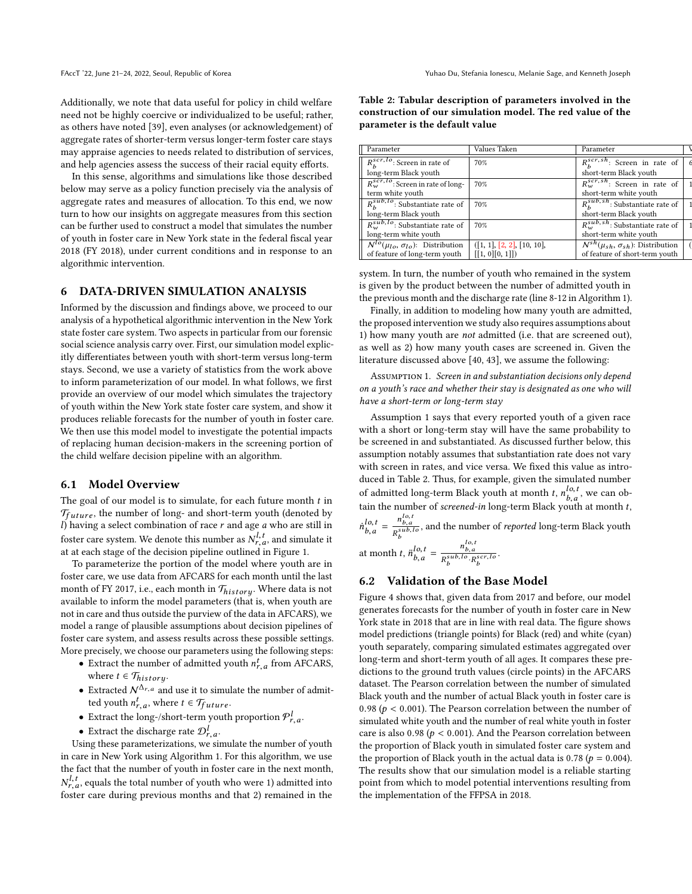Additionally, we note that data useful for policy in child welfare need not be highly coercive or individualized to be useful; rather, as others have noted [\[39\]](#page-9-42), even analyses (or acknowledgement) of aggregate rates of shorter-term versus longer-term foster care stays may appraise agencies to needs related to distribution of services, and help agencies assess the success of their racial equity efforts.

In this sense, algorithms and simulations like those described below may serve as a policy function precisely via the analysis of aggregate rates and measures of allocation. To this end, we now turn to how our insights on aggregate measures from this section can be further used to construct a model that simulates the number of youth in foster care in New York state in the federal fiscal year 2018 (FY 2018), under current conditions and in response to an algorithmic intervention.

#### 6 DATA-DRIVEN SIMULATION ANALYSIS

Informed by the discussion and findings above, we proceed to our analysis of a hypothetical algorithmic intervention in the New York state foster care system. Two aspects in particular from our forensic social science analysis carry over. First, our simulation model explicitly differentiates between youth with short-term versus long-term stays. Second, we use a variety of statistics from the work above to inform parameterization of our model. In what follows, we first provide an overview of our model which simulates the trajectory of youth within the New York state foster care system, and show it produces reliable forecasts for the number of youth in foster care. We then use this model model to investigate the potential impacts of replacing human decision-makers in the screening portion of the child welfare decision pipeline with an algorithm.

#### 6.1 Model Overview

The goal of our model is to simulate, for each future month  $t$  in  $\mathcal{T}_{future}$ , the number of long- and short-term youth (denoted by  $\mathcal{D}_{Quu}$  baying a select combination of race r and age a who are still in  $l$ ) having a select combination of race  $r$  and age  $a$  who are still in foster care system. We denote this number as  $N_{r,a}^{l,t}$ , and simulate it<br>at at each stage of the decision nineline outlined in Figure 1. at at each stage of the decision pipeline outlined in Figure [1.](#page-2-0)

To parameterize the portion of the model where youth are in foster care, we use data from AFCARS for each month until the last month of FY 2017, i.e., each month in  $\mathcal{T}_{history}$ . Where data is not available to inform the model parameters (that is when youth are available to inform the model parameters (that is, when youth are not in care and thus outside the purview of the data in AFCARS), we model a range of plausible assumptions about decision pipelines of foster care system, and assess results across these possible settings. More precisely, we choose our parameters using the following steps:

- Extract the number of admitted youth  $n_{r,a}^t$  from AFCARS,  $\cdot$ ,  $\cdot$ where  $t \in \mathcal{T}_{history}$ .
- Extracted  $\mathcal{N}^{\Delta_{r,a}}$  and use it to simulate the number of admitted youth  $n_{r,a}^t$ , where  $t \in \mathcal{T}_{future}$ .
- Extract the long-/short-term youth proportion  $\mathcal{P}^l_{r,a}$ .
- Extract the discharge rate  $\mathcal{D}_{r,a}^l$ .

Using these parameterizations, we simulate the number of youth in care in New York using Algorithm [1.](#page-6-0) For this algorithm, we use the fact that the number of youth in foster care in the next month,  $\frac{N_{1,1}}{N_{2,1}}$  foster care during previous months and that 2) remained in the  $l,t_{r,a}$ , equals the total number of youth who were 1) admitted into

<span id="page-5-1"></span>Table 2: Tabular description of parameters involved in the construction of our simulation model. The red value of the parameter is the default value

| Parameter                                      | Values Taken               | Parameter                                                           |  |
|------------------------------------------------|----------------------------|---------------------------------------------------------------------|--|
| $R_k^{scr,lo}$ : Screen in rate of             | 70%                        | $\overline{R_{\scriptscriptstyle{h}}^{scr,sh}}$ : Screen in rate of |  |
| long-term Black youth                          |                            | short-term Black youth                                              |  |
| $R^{scrI,lo}_{w}$ : Screen in rate of long-    | 70%                        | $\overline{R_{w}^{scr,sh}}$ : Screen in rate of                     |  |
| term white youth                               |                            | short-term white youth                                              |  |
| $R_{\mu}^{sub,lo}$ : Substantiate rate of      | 70%                        | $R_{\mu}^{sub,sh}$ : Substantiate rate of                           |  |
| long-term Black youth                          |                            | short-term Black youth                                              |  |
| $R_{\omega}^{sub,lo}$ : Substantiate rate of   | 70%                        | $R_{w}^{sub,sh}$ : Substantiate rate of                             |  |
| long-term white youth                          |                            | short-term white youth                                              |  |
| $N^{lo}(\mu_{lo}, \sigma_{lo})$ : Distribution | ([1, 1], [2, 2], [10, 10], | $N^{sh}(\mu_{sh}, \sigma_{sh})$ : Distribution                      |  |
| of feature of long-term youth                  | [[1, 0][0, 1]])            | of feature of short-term youth                                      |  |
|                                                |                            |                                                                     |  |

 $\overline{\mathcal{C}}$ 

system. In turn, the number of youth who remained in the system is given by the product between the number of admitted youth in the previous month and the discharge rate (line 8-12 in Algorithm [1\)](#page-6-0).

Finally, in addition to modeling how many youth are admitted, the proposed intervention we study also requires assumptions about 1) how many youth are not admitted (i.e. that are screened out), as well as 2) how many youth cases are screened in. Given the literature discussed above [\[40,](#page-9-36) [43\]](#page-9-37), we assume the following:

<span id="page-5-0"></span>ASSUMPTION 1. Screen in and substantiation decisions only depend on a youth's race and whether their stay is designated as one who will have a short-term or long-term stay

Assumption [1](#page-5-0) says that every reported youth of a given race with a short or long-term stay will have the same probability to be screened in and substantiated. As discussed further below, this assumption notably assumes that substantiation rate does not vary with screen in rates, and vice versa. We fixed this value as introduced in Table [2.](#page-5-1) Thus, for example, given the simulated number of admitted long-term Black youth at month *t*,  $n_{b,a}^{lo,t}$ , we can ob-<br>tein the number of caused in lang term Plash would at month *t*. tain the number of *screened-in* long-term Black youth at month *t*,  $\ddot{n}^{lo, t}_{b, a}$ b,a  $=\frac{n_{b,a}^{lo,t}}{R_b^{sub,lo}}$ , and the number of *reported* long-term Black youth  $= \frac{n_{b,a}^{lo,t}}{n^{sub,lo}$ .

at month t,  $\ddot{n}_{b,a}^{lo,t}$ b,a  $R_b^{sub,lo} \cdot R_b^{scr,lo}$ 

## 6.2 Validation of the Base Model

Figure [4](#page-7-0) shows that, given data from 2017 and before, our model generates forecasts for the number of youth in foster care in New York state in 2018 that are in line with real data. The figure shows model predictions (triangle points) for Black (red) and white (cyan) youth separately, comparing simulated estimates aggregated over long-term and short-term youth of all ages. It compares these predictions to the ground truth values (circle points) in the AFCARS dataset. The Pearson correlation between the number of simulated Black youth and the number of actual Black youth in foster care is 0.98 ( $p < 0.001$ ). The Pearson correlation between the number of simulated white youth and the number of real white youth in foster care is also 0.98 ( $p < 0.001$ ). And the Pearson correlation between the proportion of Black youth in simulated foster care system and the proportion of Black youth in the actual data is 0.78 ( $p = 0.004$ ). The results show that our simulation model is a reliable starting point from which to model potential interventions resulting from the implementation of the FFPSA in 2018.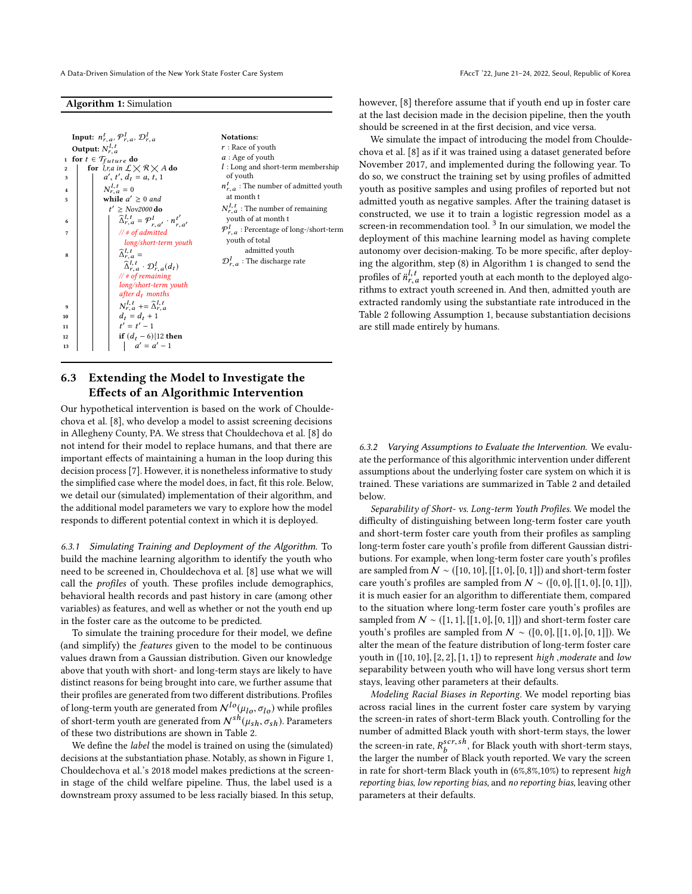A Data-Driven Simulation of the New York State Foster Care System FACCT '22, June 21-24, 2022, Seoul, Republic of Korea

#### Algorithm 1: Simulation

|                                      | Input: $n_{r,a}^t$ , $\mathcal{P}_{r,a}^l$ , $\mathcal{D}_{r,a}^l$                                                                                                                                                                                                                                    | <b>Notations:</b>                                                                                                                                                                                   |  |  |
|--------------------------------------|-------------------------------------------------------------------------------------------------------------------------------------------------------------------------------------------------------------------------------------------------------------------------------------------------------|-----------------------------------------------------------------------------------------------------------------------------------------------------------------------------------------------------|--|--|
| 2<br>3<br>4<br>5                     | Output: $N_{r,a}^{l,t}$<br>1 for $t \in \mathcal{T}_{future}$ do<br>for $l, r, a$ in $\mathcal{L} \times \mathcal{R} \times A$ do<br>$a', t', d_t = a, t, 1$<br>$N_r^{l,t}=0$<br>while $a' \geq 0$ and<br>$t' > Nov2000$ do                                                                           | $r:$ Race of youth<br>$a:$ Age of youth<br>$l:$ Long and short-term membership<br>of youth<br>$n_{r,a}^t$ : The number of admitted youth<br>at month t<br>$N_{r,a}^{l,t}$ : The number of remaining |  |  |
| 6<br>7<br>8                          | $\widehat{\Delta}_{r,a}^{l,t} = \mathcal{P}_{r,a'}^{l} \cdot n_{r,a'}^{t'}$<br>$//$ # of admitted<br>long/short-term youth<br>$\widehat{\Delta}_{r,a}^{l,t}$ =<br>$\widehat{\Delta}_{r,a}^{l,t} \cdot \mathcal{D}_{r,a}^{l}(d_t)$<br>// # of remaining<br>long/short-term youth<br>after $d_t$ months | youth of at month t<br>$\mathcal{P}_{r,a}^l$ : Percentage of long-/short-term<br>youth of total<br>admitted youth<br>$\mathcal{D}_{r,a}^l$ : The discharge rate                                     |  |  |
| $\mathbf{q}$<br>10<br>11<br>12<br>13 | $N_r^{l,t}$ += $\hat{\Delta}_r^{l,t}$<br>$d_t = d_t + 1$<br>$t' = t' - 1$<br>if $(d_t - 6)$  12 then<br>$a' = a' - 1$                                                                                                                                                                                 |                                                                                                                                                                                                     |  |  |

# <span id="page-6-0"></span>6.3 Extending the Model to Investigate the Effects of an Algorithmic Intervention

Our hypothetical intervention is based on the work of Chouldechova et al. [\[8\]](#page-9-14), who develop a model to assist screening decisions in Allegheny County, PA. We stress that Chouldechova et al. [\[8\]](#page-9-14) do not intend for their model to replace humans, and that there are important effects of maintaining a human in the loop during this decision process [\[7\]](#page-9-21). However, it is nonetheless informative to study the simplified case where the model does, in fact, fit this role. Below, we detail our (simulated) implementation of their algorithm, and the additional model parameters we vary to explore how the model responds to different potential context in which it is deployed.

6.3.1 Simulating Training and Deployment of the Algorithm. To build the machine learning algorithm to identify the youth who need to be screened in, Chouldechova et al. [\[8\]](#page-9-14) use what we will call the profiles of youth. These profiles include demographics, behavioral health records and past history in care (among other variables) as features, and well as whether or not the youth end up in the foster care as the outcome to be predicted.

To simulate the training procedure for their model, we define (and simplify) the features given to the model to be continuous values drawn from a Gaussian distribution. Given our knowledge above that youth with short- and long-term stays are likely to have distinct reasons for being brought into care, we further assume that their profiles are generated from two different distributions. Profiles of long-term youth are generated from  $N^{lo}(\mu_{lo}, \sigma_{lo})$  while profiles of short-term youth are generated from  $N^{sh}(\mu_{sh}, \sigma_{sh})$ . Parameters of these two distributions are shown in Table [2.](#page-5-1)

We define the *label* the model is trained on using the (simulated) decisions at the substantiation phase. Notably, as shown in Figure [1,](#page-2-0) [Chouldechova et al.'](#page-9-14)s [2018](#page-9-14) model makes predictions at the screenin stage of the child welfare pipeline. Thus, the label used is a downstream proxy assumed to be less racially biased. In this setup,

however, [\[8\]](#page-9-14) therefore assume that if youth end up in foster care at the last decision made in the decision pipeline, then the youth should be screened in at the first decision, and vice versa.

We simulate the impact of introducing the model from Chouldechova et al. [\[8\]](#page-9-14) as if it was trained using a dataset generated before November 2017, and implemented during the following year. To do so, we construct the training set by using profiles of admitted youth as positive samples and using profiles of reported but not admitted youth as negative samples. After the training dataset is constructed, we use it to train a logistic regression model as a  $screen-in$  recommendation tool.  $3$  In our simulation, we model the deployment of this machine learning model as having complete autonomy over decision-making. To be more specific, after deploying the algorithm, step (8) in Algorithm [1](#page-6-0) is changed to send the profiles of  $\ddot{n}_{r,t}^L$  reported youth at each month to the deployed algo-<br>rithms to extract youth screened in And then, admitted youth are rithms to extract youth screened in. And then, admitted youth are extracted randomly using the substantiate rate introduced in the Table [2](#page-5-1) following Assumption [1,](#page-5-0) because substantiation decisions are still made entirely by humans.

6.3.2 Varying Assumptions to Evaluate the Intervention. We evaluate the performance of this algorithmic intervention under different assumptions about the underlying foster care system on which it is trained. These variations are summarized in Table [2](#page-5-1) and detailed below.

Separability of Short- vs. Long-term Youth Profiles. We model the difficulty of distinguishing between long-term foster care youth and short-term foster care youth from their profiles as sampling long-term foster care youth's profile from different Gaussian distributions. For example, when long-term foster care youth's profiles are sampled from  $N \sim ( [10, 10], [[1, 0], [0, 1]])$  and short-term foster care youth's profiles are sampled from  $\mathcal{N} \sim ([0, 0], [[1, 0], [0, 1]])$ , it is much easier for an algorithm to differentiate them, compared to the situation where long-term foster care youth's profiles are sampled from  $N \sim (1, 1], [1, 0], [0, 1]]$  and short-term foster care youth's profiles are sampled from  $N \sim ([0, 0], [[1, 0], [0, 1]])$ . We alter the mean of the feature distribution of long-term foster care youth in  $([10, 10], [2, 2], [1, 1])$  to represent high, moderate and low separability between youth who will have long versus short term stays, leaving other parameters at their defaults.

Modeling Racial Biases in Reporting. We model reporting bias across racial lines in the current foster care system by varying the screen-in rates of short-term Black youth. Controlling for the number of admitted Black youth with short-term stays, the lower the screen-in rate,  $R_b^{scr,sh}$ , for Black youth with short-term stays,<br>the larger the number of Black youth reported. We your the screen the larger the number of Black youth reported. We vary the screen in rate for short-term Black youth in (6%,8%,10%) to represent high reporting bias, low reporting bias, and no reporting bias, leaving other parameters at their defaults.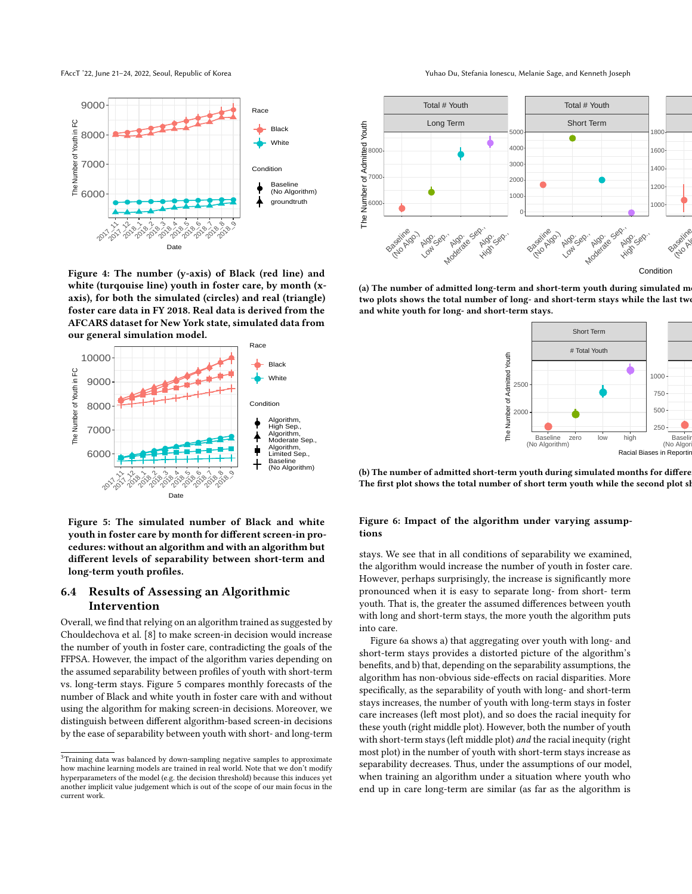<span id="page-7-0"></span>

Figure 4: The number (y-axis) of Black (red line) and white (turqouise line) youth in foster care, by month (xaxis), for both the simulated (circles) and real (triangle) foster care data in FY 2018. Real data is derived from the AFCARS dataset for New York state, simulated data from our general simulation model.



Figure 5: The simulated number of Black and white youth in foster care by month for different screen-in procedures: without an algorithm and with an algorithm but different levels of separability between short-term and long-term youth profiles.

# 6.4 Results of Assessing an Algorithmic Intervention

Overall, we find that relying on an algorithm trained as suggested by Chouldechova et al. [\[8\]](#page-9-14) to make screen-in decision would increase the number of youth in foster care, contradicting the goals of the FFPSA. However, the impact of the algorithm varies depending on the assumed separability between profiles of youth with short-term vs. long-term stays. Figure [5](#page-7-0) compares monthly forecasts of the number of Black and white youth in foster care with and without using the algorithm for making screen-in decisions. Moreover, we distinguish between different algorithm-based screen-in decisions by the ease of separability between youth with short- and long-term

FAccT '22, June 21-24, 2022, Seoul, Republic of Korea Yuhao Du, Stefania Ionescu, Melanie Sage, and Kenneth Joseph

<span id="page-7-2"></span>

(a) The number of admitted long-term and short-term youth during simulated m two plots shows the total number of long- and short-term stays while the last two and white youth for long- and short-term stays.



(b) The number of admitted short-term youth during simulated months for differe The first plot shows the total number of short term youth while the second plot sl

#### Figure 6: Impact of the algorithm under varying assumptions

stays. We see that in all conditions of separability we examined, the algorithm would increase the number of youth in foster care. However, perhaps surprisingly, the increase is significantly more pronounced when it is easy to separate long- from short- term youth. That is, the greater the assumed differences between youth with long and short-term stays, the more youth the algorithm puts into care.

Figure [6a](#page-7-2) shows a) that aggregating over youth with long- and short-term stays provides a distorted picture of the algorithm's benefits, and b) that, depending on the separability assumptions, the algorithm has non-obvious side-effects on racial disparities. More specifically, as the separability of youth with long- and short-term stays increases, the number of youth with long-term stays in foster care increases (left most plot), and so does the racial inequity for these youth (right middle plot). However, both the number of youth with short-term stays (left middle plot) and the racial inequity (right most plot) in the number of youth with short-term stays increase as separability decreases. Thus, under the assumptions of our model, when training an algorithm under a situation where youth who end up in care long-term are similar (as far as the algorithm is

<span id="page-7-1"></span><sup>&</sup>lt;sup>3</sup>Training data was balanced by down-sampling negative samples to approximate how machine learning models are trained in real world. Note that we don't modify hyperparameters of the model (e.g. the decision threshold) because this induces yet another implicit value judgement which is out of the scope of our main focus in the current work.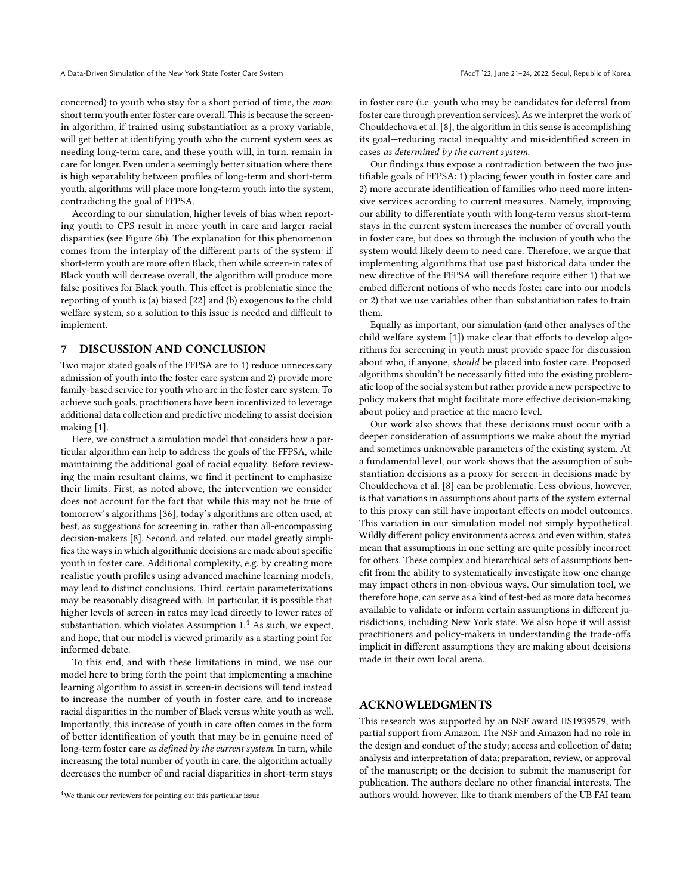concerned) to youth who stay for a short period of time, the more short term youth enter foster care overall. This is because the screenin algorithm, if trained using substantiation as a proxy variable, will get better at identifying youth who the current system sees as needing long-term care, and these youth will, in turn, remain in care for longer. Even under a seemingly better situation where there is high separability between profiles of long-term and short-term youth, algorithms will place more long-term youth into the system, contradicting the goal of FFPSA.

According to our simulation, higher levels of bias when reporting youth to CPS result in more youth in care and larger racial disparities (see Figure [6b\)](#page-7-2). The explanation for this phenomenon comes from the interplay of the different parts of the system: if short-term youth are more often Black, then while screen-in rates of Black youth will decrease overall, the algorithm will produce more false positives for Black youth. This effect is problematic since the reporting of youth is (a) biased [\[22\]](#page-9-2) and (b) exogenous to the child welfare system, so a solution to this issue is needed and difficult to implement.

### 7 DISCUSSION AND CONCLUSION

Two major stated goals of the FFPSA are to 1) reduce unnecessary admission of youth into the foster care system and 2) provide more family-based service for youth who are in the foster care system. To achieve such goals, practitioners have been incentivized to leverage additional data collection and predictive modeling to assist decision making [\[1\]](#page-9-8).

Here, we construct a simulation model that considers how a particular algorithm can help to address the goals of the FFPSA, while maintaining the additional goal of racial equality. Before reviewing the main resultant claims, we find it pertinent to emphasize their limits. First, as noted above, the intervention we consider does not account for the fact that while this may not be true of tomorrow's algorithms [\[36\]](#page-9-6), today's algorithms are often used, at best, as suggestions for screening in, rather than all-encompassing decision-makers [\[8\]](#page-9-14). Second, and related, our model greatly simplifies the ways in which algorithmic decisions are made about specific youth in foster care. Additional complexity, e.g. by creating more realistic youth profiles using advanced machine learning models, may lead to distinct conclusions. Third, certain parameterizations may be reasonably disagreed with. In particular, it is possible that higher levels of screen-in rates may lead directly to lower rates of substantiation, which violates Assumption [1.](#page-5-0)[4](#page-8-0) As such, we expect, and hope, that our model is viewed primarily as a starting point for informed debate.

To this end, and with these limitations in mind, we use our model here to bring forth the point that implementing a machine learning algorithm to assist in screen-in decisions will tend instead to increase the number of youth in foster care, and to increase racial disparities in the number of Black versus white youth as well. Importantly, this increase of youth in care often comes in the form of better identification of youth that may be in genuine need of long-term foster care as defined by the current system. In turn, while increasing the total number of youth in care, the algorithm actually decreases the number of and racial disparities in short-term stays

in foster care (i.e. youth who may be candidates for deferral from foster care through prevention services). As we interpret the work of Chouldechova et al. [\[8\]](#page-9-14), the algorithm in this sense is accomplishing its goal—reducing racial inequality and mis-identified screen in cases as determined by the current system.

Our findings thus expose a contradiction between the two justifiable goals of FFPSA: 1) placing fewer youth in foster care and 2) more accurate identification of families who need more intensive services according to current measures. Namely, improving our ability to differentiate youth with long-term versus short-term stays in the current system increases the number of overall youth in foster care, but does so through the inclusion of youth who the system would likely deem to need care. Therefore, we argue that implementing algorithms that use past historical data under the new directive of the FFPSA will therefore require either 1) that we embed different notions of who needs foster care into our models or 2) that we use variables other than substantiation rates to train them.

Equally as important, our simulation (and other analyses of the child welfare system [\[1\]](#page-9-8)) make clear that efforts to develop algorithms for screening in youth must provide space for discussion about who, if anyone, should be placed into foster care. Proposed algorithms shouldn't be necessarily fitted into the existing problematic loop of the social system but rather provide a new perspective to policy makers that might facilitate more effective decision-making about policy and practice at the macro level.

Our work also shows that these decisions must occur with a deeper consideration of assumptions we make about the myriad and sometimes unknowable parameters of the existing system. At a fundamental level, our work shows that the assumption of substantiation decisions as a proxy for screen-in decisions made by Chouldechova et al. [\[8\]](#page-9-14) can be problematic. Less obvious, however, is that variations in assumptions about parts of the system external to this proxy can still have important effects on model outcomes. This variation in our simulation model not simply hypothetical. Wildly different policy environments across, and even within, states mean that assumptions in one setting are quite possibly incorrect for others. These complex and hierarchical sets of assumptions benefit from the ability to systematically investigate how one change may impact others in non-obvious ways. Our simulation tool, we therefore hope, can serve as a kind of test-bed as more data becomes available to validate or inform certain assumptions in different jurisdictions, including New York state. We also hope it will assist practitioners and policy-makers in understanding the trade-offs implicit in different assumptions they are making about decisions made in their own local arena.

#### ACKNOWLEDGMENTS

This research was supported by an NSF award IIS1939579, with partial support from Amazon. The NSF and Amazon had no role in the design and conduct of the study; access and collection of data; analysis and interpretation of data; preparation, review, or approval of the manuscript; or the decision to submit the manuscript for publication. The authors declare no other financial interests. The authors would, however, like to thank members of the UB FAI team

<span id="page-8-0"></span><sup>4</sup>We thank our reviewers for pointing out this particular issue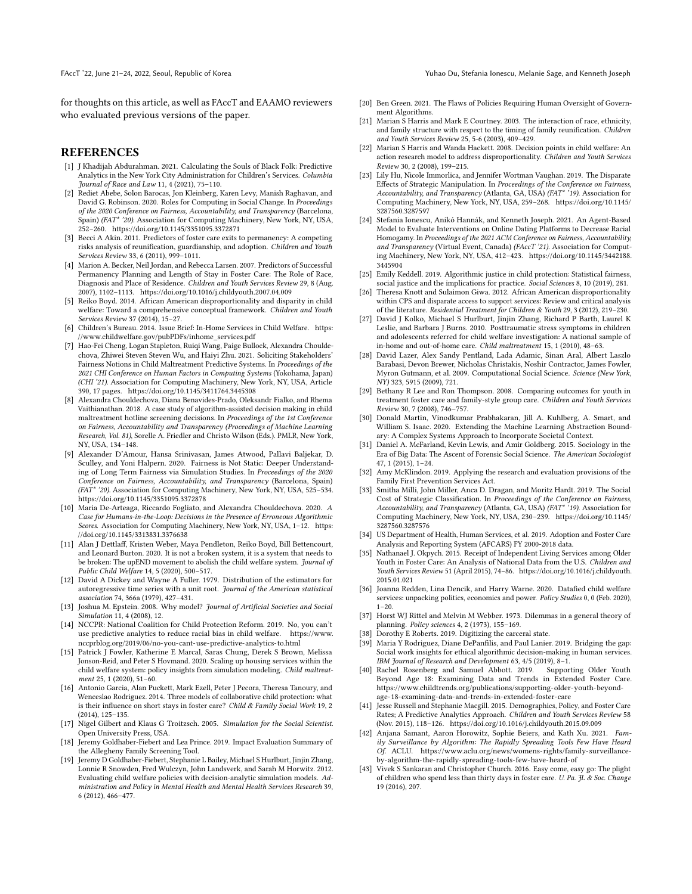FAccT '22, June 21-24, 2022, Seoul, Republic of Korea Yuhao Du, Stefania Ionescu, Melanie Sage, and Kenneth Joseph

for thoughts on this article, as well as FAccT and EAAMO reviewers who evaluated previous versions of the paper.

#### **REFERENCES**

- <span id="page-9-8"></span>[1] J Khadijah Abdurahman. 2021. Calculating the Souls of Black Folk: Predictive Analytics in the New York City Administration for Children's Services. Columbia Journal of Race and Law 11, 4 (2021), 75–110.
- <span id="page-9-10"></span>[2] Rediet Abebe, Solon Barocas, Jon Kleinberg, Karen Levy, Manish Raghavan, and David G. Robinson. 2020. Roles for Computing in Social Change. In Proceedings of the 2020 Conference on Fairness, Accountability, and Transparency (Barcelona, Spain) (FAT\* '20). Association for Computing Machinery, New York, NY, USA, 252–260.<https://doi.org/10.1145/3351095.3372871>
- <span id="page-9-40"></span>[3] Becci A Akin. 2011. Predictors of foster care exits to permanency: A competing risks analysis of reunification, guardianship, and adoption. Children and Youth Services Review 33, 6 (2011), 999–1011.
- <span id="page-9-33"></span>[4] Marion A. Becker, Neil Jordan, and Rebecca Larsen. 2007. Predictors of Successful Permanency Planning and Length of Stay in Foster Care: The Role of Race, Diagnosis and Place of Residence. Children and Youth Services Review 29, 8 (Aug. 2007), 1102–1113.<https://doi.org/10.1016/j.childyouth.2007.04.009>
- <span id="page-9-1"></span>[5] Reiko Boyd. 2014. African American disproportionality and disparity in child welfare: Toward a comprehensive conceptual framework. Children and Youth Services Review 37 (2014), 15–27.
- <span id="page-9-4"></span>[6] Children's Bureau. 2014. Issue Brief: In-Home Services in Child Welfare. [https:](https://www.childwelfare.gov/pubPDFs/inhome_services.pdf) [//www.childwelfare.gov/pubPDFs/inhome\\_services.pdf](https://www.childwelfare.gov/pubPDFs/inhome_services.pdf)
- <span id="page-9-21"></span>[7] Hao-Fei Cheng, Logan Stapleton, Ruiqi Wang, Paige Bullock, Alexandra Chouldechova, Zhiwei Steven Steven Wu, and Haiyi Zhu. 2021. Soliciting Stakeholders' Fairness Notions in Child Maltreatment Predictive Systems. In Proceedings of the 2021 CHI Conference on Human Factors in Computing Systems (Yokohama, Japan) (CHI '21). Association for Computing Machinery, New York, NY, USA, Article 390, 17 pages.<https://doi.org/10.1145/3411764.3445308>
- <span id="page-9-14"></span>[8] Alexandra Chouldechova, Diana Benavides-Prado, Oleksandr Fialko, and Rhema Vaithianathan. 2018. A case study of algorithm-assisted decision making in child maltreatment hotline screening decisions. In Proceedings of the 1st Conference on Fairness, Accountability and Transparency (Proceedings of Machine Learning Research, Vol. 81), Sorelle A. Friedler and Christo Wilson (Eds.). PMLR, New York, NY, USA, 134–148.
- <span id="page-9-26"></span>[9] Alexander D'Amour, Hansa Srinivasan, James Atwood, Pallavi Baljekar, D. Sculley, and Yoni Halpern. 2020. Fairness is Not Static: Deeper Understanding of Long Term Fairness via Simulation Studies. In Proceedings of the 2020 Conference on Fairness, Accountability, and Transparency (Barcelona, Spain) (FAT\* '20). Association for Computing Machinery, New York, NY, USA, 525–534. <https://doi.org/10.1145/3351095.3372878>
- <span id="page-9-23"></span>[10] Maria De-Arteaga, Riccardo Fogliato, and Alexandra Chouldechova. 2020. A Case for Humans-in-the-Loop: Decisions in the Presence of Erroneous Algorithmic Scores. Association for Computing Machinery, New York, NY, USA, 1–12. [https:](https://doi.org/10.1145/3313831.3376638) [//doi.org/10.1145/3313831.3376638](https://doi.org/10.1145/3313831.3376638)
- <span id="page-9-3"></span>[11] Alan J Dettlaff, Kristen Weber, Maya Pendleton, Reiko Boyd, Bill Bettencourt, and Leonard Burton. 2020. It is not a broken system, it is a system that needs to be broken: The upEND movement to abolish the child welfare system. Journal of Public Child Welfare 14, 5 (2020), 500–517.
- <span id="page-9-35"></span>[12] David A Dickey and Wayne A Fuller. 1979. Distribution of the estimators for autoregressive time series with a unit root. Journal of the American statistical association 74, 366a (1979), 427–431.
- <span id="page-9-16"></span>[13] Joshua M. Epstein. 2008. Why model? Journal of Artificial Societies and Social Simulation 11, 4 (2008), 12.
- <span id="page-9-24"></span>[14] NCCPR: National Coalition for Child Protection Reform. 2019. No, you can't use predictive analytics to reduce racial bias in child welfare. [https://www.](https://www. nccprblog.org/2019/06/no-you-cant-use-predictive-analytics-to.html) [nccprblog.org/2019/06/no-you-cant-use-predictive-analytics-to.html](https://www. nccprblog.org/2019/06/no-you-cant-use-predictive-analytics-to.html)
- <span id="page-9-32"></span>[15] Patrick J Fowler, Katherine E Marcal, Saras Chung, Derek S Brown, Melissa Jonson-Reid, and Peter S Hovmand. 2020. Scaling up housing services within the child welfare system: policy insights from simulation modeling. Child maltreatment 25, 1 (2020), 51–60.
- <span id="page-9-41"></span>[16] Antonio Garcia, Alan Puckett, Mark Ezell, Peter J Pecora, Theresa Tanoury, and Wenceslao Rodriguez. 2014. Three models of collaborative child protection: what is their influence on short stays in foster care? Child & Family Social Work 19, 2 (2014), 125–135.
- <span id="page-9-13"></span>[17] Nigel Gilbert and Klaus G Troitzsch. 2005. Simulation for the Social Scientist. Open University Press, USA.
- <span id="page-9-18"></span>[18] Jeremy Goldhaber-Fiebert and Lea Prince. 2019. Impact Evaluation Summary of the Allegheny Family Screening Tool.
- <span id="page-9-27"></span>[19] Jeremy D Goldhaber-Fiebert, Stephanie L Bailey, Michael S Hurlburt, Jinjin Zhang, Lonnie R Snowden, Fred Wulczyn, John Landsverk, and Sarah M Horwitz. 2012. Evaluating child welfare policies with decision-analytic simulation models. Administration and Policy in Mental Health and Mental Health Services Research 39, 6 (2012), 466–477.
- <span id="page-9-17"></span>[20] Ben Green. 2021. The Flaws of Policies Requiring Human Oversight of Government Algorithms.
- <span id="page-9-38"></span>[21] Marian S Harris and Mark E Courtney. 2003. The interaction of race, ethnicity, and family structure with respect to the timing of family reunification. Children and Youth Services Review 25, 5-6 (2003), 409–429.
- <span id="page-9-2"></span>[22] Marian S Harris and Wanda Hackett. 2008. Decision points in child welfare: An action research model to address disproportionality. Children and Youth Services Review 30, 2 (2008), 199–215.
- <span id="page-9-28"></span>[23] Lily Hu, Nicole Immorlica, and Jennifer Wortman Vaughan. 2019. The Disparate Effects of Strategic Manipulation. In Proceedings of the Conference on Fairness, Accountability, and Transparency (Atlanta, GA, USA) (FAT\* '19). Association for Computing Machinery, New York, NY, USA, 259–268. [https://doi.org/10.1145/](https://doi.org/10.1145/3287560.3287597) [3287560.3287597](https://doi.org/10.1145/3287560.3287597)
- <span id="page-9-29"></span>[24] Stefania Ionescu, Anikó Hannák, and Kenneth Joseph. 2021. An Agent-Based Model to Evaluate Interventions on Online Dating Platforms to Decrease Racial Homogamy. In Proceedings of the 2021 ACM Conference on Fairness, Accountability, and Transparency (Virtual Event, Canada) (FAccT '21). Association for Computing Machinery, New York, NY, USA, 412–423. [https://doi.org/10.1145/3442188.](https://doi.org/10.1145/3442188.3445904) [3445904](https://doi.org/10.1145/3442188.3445904)
- <span id="page-9-22"></span>[25] Emily Keddell. 2019. Algorithmic justice in child protection: Statistical fairness, social justice and the implications for practice. Social Sciences 8, 10 (2019), 281.
- <span id="page-9-39"></span>[26] Theresa Knott and Sulaimon Giwa. 2012. African American disproportionality within CPS and disparate access to support services: Review and critical analysis of the literature. Residential Treatment for Children & Youth 29, 3 (2012), 219–230.
- <span id="page-9-0"></span>[27] David J Kolko, Michael S Hurlburt, Jinjin Zhang, Richard P Barth, Laurel K Leslie, and Barbara J Burns. 2010. Posttraumatic stress symptoms in children and adolescents referred for child welfare investigation: A national sample of in-home and out-of-home care. Child maltreatment 15, 1 (2010), 48–63.
- <span id="page-9-15"></span>[28] David Lazer, Alex Sandy Pentland, Lada Adamic, Sinan Aral, Albert Laszlo Barabasi, Devon Brewer, Nicholas Christakis, Noshir Contractor, James Fowler, Myron Gutmann, et al. 2009. Computational Social Science. Science (New York, NY) 323, 5915 (2009), 721.
- <span id="page-9-20"></span>[29] Bethany R Lee and Ron Thompson. 2008. Comparing outcomes for youth in treatment foster care and family-style group care. Children and Youth Services Review 30, 7 (2008), 746–757.
- <span id="page-9-31"></span>[30] Donald Martin, Vinodkumar Prabhakaran, Jill A. Kuhlberg, A. Smart, and William S. Isaac. 2020. Extending the Machine Learning Abstraction Boundary: A Complex Systems Approach to Incorporate Societal Context.
- <span id="page-9-11"></span>[31] Daniel A. McFarland, Kevin Lewis, and Amir Goldberg. 2015. Sociology in the Era of Big Data: The Ascent of Forensic Social Science. The American Sociologist  $47, 1$  (2015),  $1-24$ .
- <span id="page-9-5"></span>[32] Amy McKlindon. 2019. Applying the research and evaluation provisions of the Family First Prevention Services Act.
- <span id="page-9-30"></span>[33] Smitha Milli, John Miller, Anca D. Dragan, and Moritz Hardt. 2019. The Social Cost of Strategic Classification. In Proceedings of the Conference on Fairness, Accountability, and Transparency (Atlanta, GA, USA) (FAT\* '19). Association for Computing Machinery, New York, NY, USA, 230–239. [https://doi.org/10.1145/](https://doi.org/10.1145/3287560.3287576) [3287560.3287576](https://doi.org/10.1145/3287560.3287576)
- <span id="page-9-12"></span>[34] US Department of Health, Human Services, et al. 2019. Adoption and Foster Care Analysis and Reporting System (AFCARS) FY 2000-2018 data.
- <span id="page-9-19"></span>[35] Nathanael J. Okpych. 2015. Receipt of Independent Living Services among Older Youth in Foster Care: An Analysis of National Data from the U.S. Children and Youth Services Review 51 (April 2015), 74–86. [https://doi.org/10.1016/j.childyouth.](https://doi.org/10.1016/j.childyouth.2015.01.021) [2015.01.021](https://doi.org/10.1016/j.childyouth.2015.01.021)
- <span id="page-9-6"></span>[36] Joanna Redden, Lina Dencik, and Harry Warne. 2020. Datafied child welfare services: unpacking politics, economics and power. Policy Studies 0, 0 (Feb. 2020), 1–20.
- <span id="page-9-7"></span>[37] Horst WJ Rittel and Melvin M Webber. 1973. Dilemmas in a general theory of planning. Policy sciences 4, 2 (1973), 155–169.
- <span id="page-9-25"></span>Dorothy E Roberts. 2019. Digitizing the carceral state.
- <span id="page-9-42"></span>[39] Maria Y Rodriguez, Diane DePanfilis, and Paul Lanier. 2019. Bridging the gap: Social work insights for ethical algorithmic decision-making in human services. IBM Journal of Research and Development 63, 4/5 (2019), 8–1.<br>Rachel Rosenberg and Samuel Abbott. 2019. Supporting Older Youth
- <span id="page-9-36"></span>[40] Rachel Rosenberg and Samuel Abbott. 2019. Beyond Age 18: Examining Data and Trends in Extended Foster Care. [https://www.childtrends.org/publications/supporting-older-youth-beyond](https://www.childtrends.org/publications/supporting-older-youth-beyond-age-18-examining-data-and-trends-in-extended-foster-care)[age-18-examining-data-and-trends-in-extended-foster-care](https://www.childtrends.org/publications/supporting-older-youth-beyond-age-18-examining-data-and-trends-in-extended-foster-care)
- <span id="page-9-34"></span>[41] Jesse Russell and Stephanie Macgill. 2015. Demographics, Policy, and Foster Care Rates; A Predictive Analytics Approach. Children and Youth Services Review 58 (Nov. 2015), 118–126.<https://doi.org/10.1016/j.childyouth.2015.09.009>
- <span id="page-9-9"></span>[42] Anjana Samant, Aaron Horowitz, Sophie Beiers, and Kath Xu. 2021. Family Surveillance by Algorithm: The Rapidly Spreading Tools Few Have Heard Of. ACLU. [https://www.aclu.org/news/womens-rights/family-surveillance](https://www.aclu.org/news/womens-rights/family-surveillance-by-algorithm-the-rapidly-spreading-tools-few-have-heard-of)[by-algorithm-the-rapidly-spreading-tools-few-have-heard-of](https://www.aclu.org/news/womens-rights/family-surveillance-by-algorithm-the-rapidly-spreading-tools-few-have-heard-of)
- <span id="page-9-37"></span>Vivek S Sankaran and Christopher Church. 2016. Easy come, easy go: The plight of children who spend less than thirty days in foster care. U. Pa. JL & Soc. Change 19 (2016), 207.